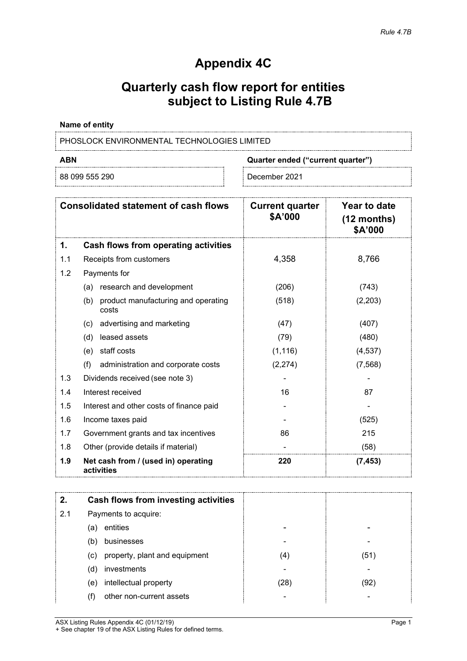## **Appendix 4C**

# **Quarterly cash flow report for entities subject to Listing Rule 4.7B**

#### **Name of entity**

PHOSLOCK ENVIRONMENTAL TECHNOLOGIES LIMITED

88 099 555 290 December 2021

**ABN Quarter ended ("current quarter")**

|     | <b>Consolidated statement of cash flows</b>         | <b>Current quarter</b><br>\$A'000 | Year to date<br>$(12$ months)<br>\$A'000 |
|-----|-----------------------------------------------------|-----------------------------------|------------------------------------------|
| 1.  | Cash flows from operating activities                |                                   |                                          |
| 1.1 | Receipts from customers                             | 4,358                             | 8,766                                    |
| 1.2 | Payments for                                        |                                   |                                          |
|     | research and development<br>(a)                     | (206)                             | (743)                                    |
|     | product manufacturing and operating<br>(b)<br>costs | (518)                             | (2,203)                                  |
|     | advertising and marketing<br>(c)                    | (47)                              | (407)                                    |
|     | leased assets<br>(d)                                | (79)                              | (480)                                    |
|     | staff costs<br>(e)                                  | (1, 116)                          | (4,537)                                  |
|     | (f)<br>administration and corporate costs           | (2, 274)                          | (7, 568)                                 |
| 1.3 | Dividends received (see note 3)                     |                                   |                                          |
| 1.4 | Interest received                                   | 16                                | 87                                       |
| 1.5 | Interest and other costs of finance paid            |                                   |                                          |
| 1.6 | Income taxes paid                                   |                                   | (525)                                    |
| 1.7 | Government grants and tax incentives                | 86                                | 215                                      |
| 1.8 | Other (provide details if material)                 |                                   | (58)                                     |
| 1.9 | Net cash from / (used in) operating<br>activities   | 220                               | (7, 453)                                 |

|     | Cash flows from investing activities |      |      |
|-----|--------------------------------------|------|------|
| 2.1 | Payments to acquire:                 |      |      |
|     | entities<br>(a)                      |      |      |
|     | businesses<br>(b)                    |      |      |
|     | property, plant and equipment<br>(c) | (4)  | (51) |
|     | investments<br>(d)                   |      |      |
|     | intellectual property<br>(e)         | (28) | (92) |
|     | other non-current assets             |      |      |

ASX Listing Rules Appendix 4C (01/12/19) Page 1 + See chapter 19 of the ASX Listing Rules for defined terms.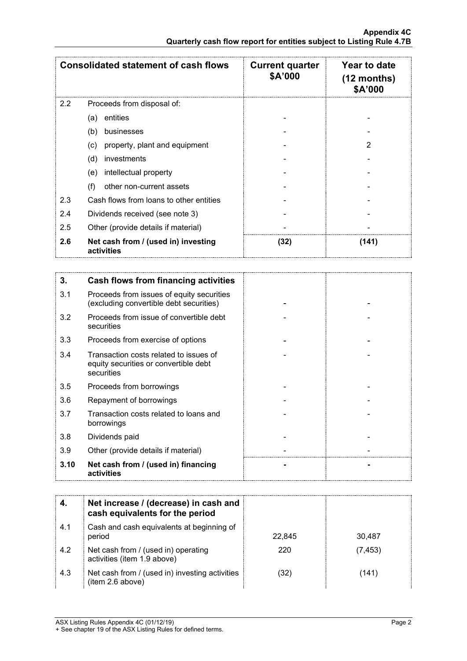|     | <b>Consolidated statement of cash flows</b>       | <b>Current quarter</b><br>\$A'000 | Year to date<br>$(12$ months)<br>\$A'000 |
|-----|---------------------------------------------------|-----------------------------------|------------------------------------------|
| 2.2 | Proceeds from disposal of:                        |                                   |                                          |
|     | entities<br>(a)                                   |                                   |                                          |
|     | (b)<br>businesses                                 |                                   |                                          |
|     | property, plant and equipment<br>(c)              |                                   |                                          |
|     | investments<br>(d)                                |                                   |                                          |
|     | intellectual property<br>(e)                      |                                   |                                          |
|     | (f)<br>other non-current assets                   |                                   |                                          |
| 2.3 | Cash flows from loans to other entities           |                                   |                                          |
| 2.4 | Dividends received (see note 3)                   |                                   |                                          |
| 2.5 | Other (provide details if material)               |                                   |                                          |
| 2.6 | Net cash from / (used in) investing<br>activities | (32)                              | (141)                                    |

| 3.   | Cash flows from financing activities                                                          |  |
|------|-----------------------------------------------------------------------------------------------|--|
| 3.1  | Proceeds from issues of equity securities<br>(excluding convertible debt securities)          |  |
| 3.2  | Proceeds from issue of convertible debt<br>securities                                         |  |
| 3.3  | Proceeds from exercise of options                                                             |  |
| 3.4  | Transaction costs related to issues of<br>equity securities or convertible debt<br>securities |  |
| 3.5  | Proceeds from borrowings                                                                      |  |
| 3.6  | Repayment of borrowings                                                                       |  |
| 3.7  | Transaction costs related to loans and<br>borrowings                                          |  |
| 3.8  | Dividends paid                                                                                |  |
| 3.9  | Other (provide details if material)                                                           |  |
| 3.10 | Net cash from / (used in) financing<br>activities                                             |  |

|     | Net increase / (decrease) in cash and<br>cash equivalents for the period |        |          |
|-----|--------------------------------------------------------------------------|--------|----------|
| 4.1 | Cash and cash equivalents at beginning of<br>period                      | 22.845 | 30,487   |
| 4.2 | Net cash from / (used in) operating<br>activities (item 1.9 above)       | 220    | (7, 453) |
| 4.3 | Net cash from / (used in) investing activities<br>(item 2.6 above)       | (32    | (141)    |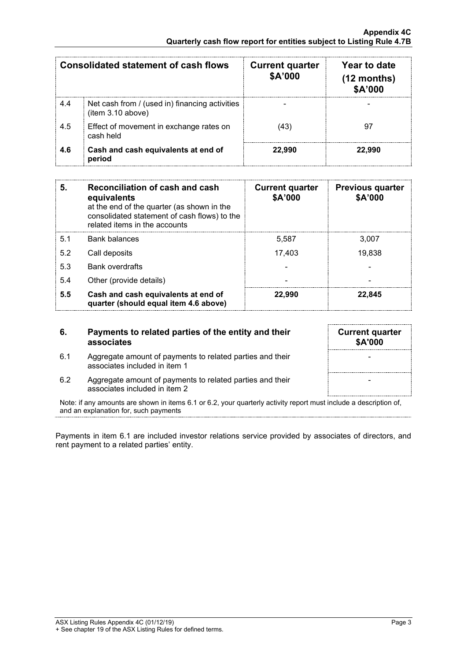|     | Consolidated statement of cash flows                                | <b>Current quarter</b><br>\$A'000 | Year to date<br>$(12$ months)<br>\$A'000 |
|-----|---------------------------------------------------------------------|-----------------------------------|------------------------------------------|
| 4.4 | Net cash from / (used in) financing activities<br>(item 3.10 above) |                                   |                                          |
| 4.5 | Effect of movement in exchange rates on<br>cash held                | .43'                              |                                          |
| 4.6 | Cash and cash equivalents at end of<br>period                       | 22.990                            | 22.990                                   |

| 5.  | Reconciliation of cash and cash<br>equivalents<br>at the end of the quarter (as shown in the<br>consolidated statement of cash flows) to the<br>related items in the accounts | <b>Current quarter</b><br>\$A'000 | <b>Previous quarter</b><br>\$A'000 |
|-----|-------------------------------------------------------------------------------------------------------------------------------------------------------------------------------|-----------------------------------|------------------------------------|
| 5.1 | Bank balances                                                                                                                                                                 | 5.587                             | 3.007                              |
| 5.2 | Call deposits                                                                                                                                                                 | 17.403                            | 19,838                             |
| 5.3 | <b>Bank overdrafts</b>                                                                                                                                                        |                                   |                                    |
| 5.4 | Other (provide details)                                                                                                                                                       |                                   |                                    |
| 5.5 | Cash and cash equivalents at end of<br>quarter (should equal item 4.6 above)                                                                                                  | 22.990                            | 22.845                             |

#### **6. Payments to related parties of the entity and their associates**

- 6.1 Aggregate amount of payments to related parties and their associates included in item 1
- **Current quarter \$A'000** - -
- 6.2 Aggregate amount of payments to related parties and their associates included in item 2

Note: if any amounts are shown in items 6.1 or 6.2, your quarterly activity report must include a description of, and an explanation for, such payments

Payments in item 6.1 are included investor relations service provided by associates of directors, and rent payment to a related parties' entity.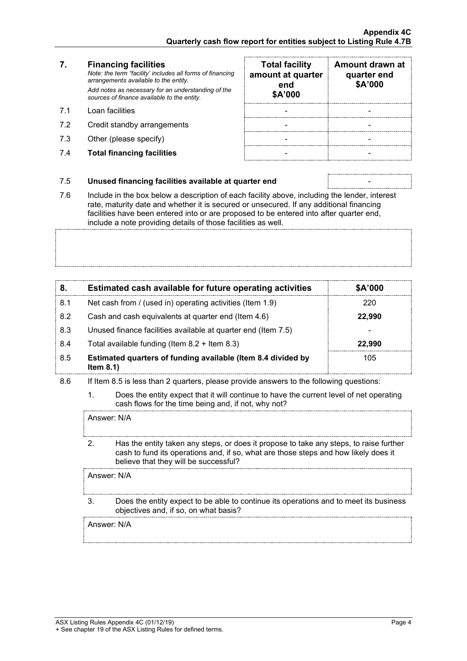## **7. Financing facilities**

*Note: the term "facility' includes all forms of financing arrangements available to the entity. Add notes as necessary for an understanding of the sources of finance available to the entity.*

- 7.1 Loan facilities
- 7.2 Credit standby arrangements
- 7.3 Other (please specify)
- 7.4 **Total financing facilities** -

| <b>Total facility</b><br>amount at quarter<br>end<br>\$A'000 | Amount drawn at<br>quarter end<br>\$A'000 |
|--------------------------------------------------------------|-------------------------------------------|
|                                                              |                                           |
|                                                              |                                           |
|                                                              |                                           |
|                                                              |                                           |

#### 7.5 **Unused financing facilities available at quarter end** -

7.6 Include in the box below a description of each facility above, including the lender, interest rate, maturity date and whether it is secured or unsecured. If any additional financing facilities have been entered into or are proposed to be entered into after quarter end,

include a note providing details of those facilities as well.

| 8.  | Estimated cash available for future operating activities                     | \$A'000 |
|-----|------------------------------------------------------------------------------|---------|
| 8.1 | Net cash from / (used in) operating activities (Item 1.9)                    | 220     |
| 8.2 | Cash and cash equivalents at quarter end (Item 4.6)                          | 22.990  |
| 8.3 | Unused finance facilities available at quarter end (Item 7.5)                |         |
| 8.4 | Total available funding (Item $8.2 +$ Item $8.3$ )                           | 22.990  |
| 8.5 | Estimated quarters of funding available (Item 8.4 divided by<br>Item $8.1$ ) | 105     |

- 8.6 If Item 8.5 is less than 2 quarters, please provide answers to the following questions:
	- 1. Does the entity expect that it will continue to have the current level of net operating cash flows for the time being and, if not, why not?

Answer: N/A

2. Has the entity taken any steps, or does it propose to take any steps, to raise further cash to fund its operations and, if so, what are those steps and how likely does it believe that they will be successful?

Answer: N/A

3. Does the entity expect to be able to continue its operations and to meet its business objectives and, if so, on what basis?

Answer: N/A